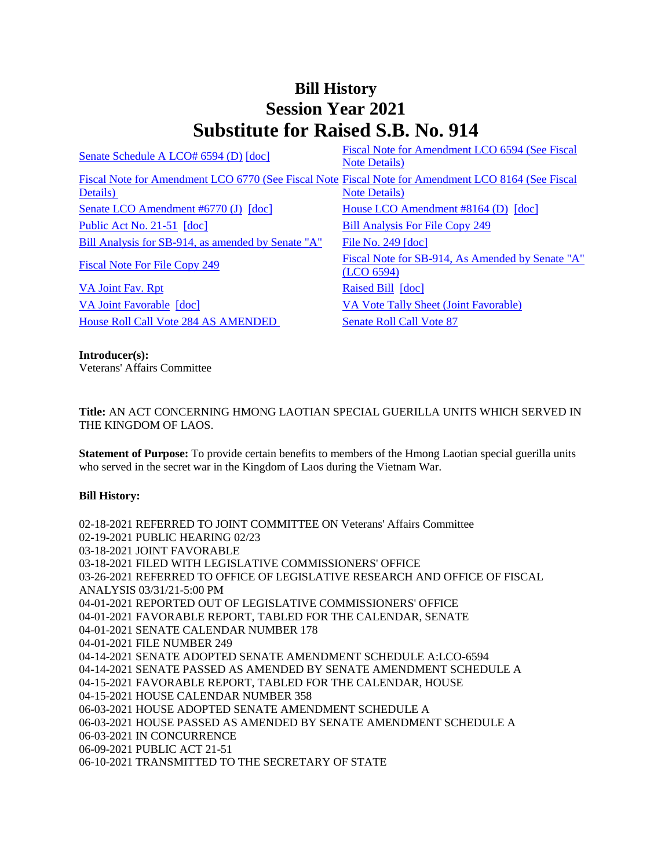## **Bill History Session Year 2021 Substitute for Raised S.B. No. 914**

| Senate Schedule A LCO# 6594 (D) [doc]                                                                          | Fiscal Note for Amendment LCO 6594 (See Fiscal<br><b>Note Details</b> ) |
|----------------------------------------------------------------------------------------------------------------|-------------------------------------------------------------------------|
| Fiscal Note for Amendment LCO 6770 (See Fiscal Note Fiscal Note for Amendment LCO 8164 (See Fiscal<br>Details) | <b>Note Details</b> )                                                   |
| Senate LCO Amendment #6770 (J) [doc]                                                                           | House LCO Amendment #8164 (D) [doc]                                     |
| Public Act No. 21-51 [doc]                                                                                     | <b>Bill Analysis For File Copy 249</b>                                  |
| Bill Analysis for SB-914, as amended by Senate "A"                                                             | File No. 249 [doc]                                                      |
| Fiscal Note For File Copy 249                                                                                  | Fiscal Note for SB-914, As Amended by Senate "A"<br>(LOO 6594)          |
| VA Joint Fav. Rpt                                                                                              | Raised Bill [doc]                                                       |
| VA Joint Favorable [doc]                                                                                       | VA Vote Tally Sheet (Joint Favorable)                                   |
| <b>House Roll Call Vote 284 AS AMENDED</b>                                                                     | <b>Senate Roll Call Vote 87</b>                                         |

**Introducer(s):** Veterans' Affairs Committee

**Title:** AN ACT CONCERNING HMONG LAOTIAN SPECIAL GUERILLA UNITS WHICH SERVED IN THE KINGDOM OF LAOS.

**Statement of Purpose:** To provide certain benefits to members of the Hmong Laotian special guerilla units who served in the secret war in the Kingdom of Laos during the Vietnam War.

## **Bill History:**

02-18-2021 REFERRED TO JOINT COMMITTEE ON Veterans' Affairs Committee 02-19-2021 PUBLIC HEARING 02/23 03-18-2021 JOINT FAVORABLE 03-18-2021 FILED WITH LEGISLATIVE COMMISSIONERS' OFFICE 03-26-2021 REFERRED TO OFFICE OF LEGISLATIVE RESEARCH AND OFFICE OF FISCAL ANALYSIS 03/31/21-5:00 PM 04-01-2021 REPORTED OUT OF LEGISLATIVE COMMISSIONERS' OFFICE 04-01-2021 FAVORABLE REPORT, TABLED FOR THE CALENDAR, SENATE 04-01-2021 SENATE CALENDAR NUMBER 178 04-01-2021 FILE NUMBER 249 04-14-2021 SENATE ADOPTED SENATE AMENDMENT SCHEDULE A:LCO-6594 04-14-2021 SENATE PASSED AS AMENDED BY SENATE AMENDMENT SCHEDULE A 04-15-2021 FAVORABLE REPORT, TABLED FOR THE CALENDAR, HOUSE 04-15-2021 HOUSE CALENDAR NUMBER 358 06-03-2021 HOUSE ADOPTED SENATE AMENDMENT SCHEDULE A 06-03-2021 HOUSE PASSED AS AMENDED BY SENATE AMENDMENT SCHEDULE A 06-03-2021 IN CONCURRENCE 06-09-2021 PUBLIC ACT 21-51 06-10-2021 TRANSMITTED TO THE SECRETARY OF STATE